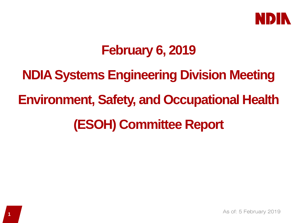

## **February 6, 2019**

**NDIA Systems Engineering Division Meeting Environment, Safety, and Occupational Health (ESOH) Committee Report**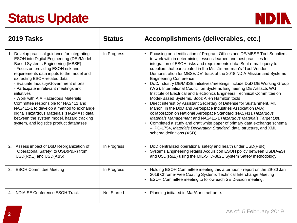# **Status Update**



| 2019 Tasks                                                                                                                                                                                                                                                                                                                                                                                                                                                                                                                                                                                                              | <b>Status</b>      | Accomplishments (deliverables, etc.)                                                                                                                                                                                                                                                                                                                                                                                                                                                                                                                                                                                                                                                                                                                                                                                                                                                                                                                                                                                                                                                                                                                  |
|-------------------------------------------------------------------------------------------------------------------------------------------------------------------------------------------------------------------------------------------------------------------------------------------------------------------------------------------------------------------------------------------------------------------------------------------------------------------------------------------------------------------------------------------------------------------------------------------------------------------------|--------------------|-------------------------------------------------------------------------------------------------------------------------------------------------------------------------------------------------------------------------------------------------------------------------------------------------------------------------------------------------------------------------------------------------------------------------------------------------------------------------------------------------------------------------------------------------------------------------------------------------------------------------------------------------------------------------------------------------------------------------------------------------------------------------------------------------------------------------------------------------------------------------------------------------------------------------------------------------------------------------------------------------------------------------------------------------------------------------------------------------------------------------------------------------------|
| Develop practical guidance for integrating<br>ESOH into Digital Engineering (DE)/Model<br><b>Based Systems Engineering (MBSE)</b><br>- Focus on providing ESOH risk and<br>requirements data inputs to the model and<br>extracting ESOH-related data<br>- Evaluate Industry/Government efforts<br>- Participate in relevant meetings and<br>initiatives<br>- Work with AIA Hazardous Materials<br>Committee responsible for NAS411 and<br>NAS411-1 to develop a method to exchange<br>digital Hazardous Materials (HAZMAT) data<br>between the system model, hazard tracking<br>system, and logistics product databases | In Progress        | Focusing on identification of Program Offices and DE/MBSE Tool Suppliers<br>to work with in determining lessons learned and best practices for<br>integration of ESOH risks and requirements data. Sent e-mail query to<br>suppliers that participated in the Ms. Zimmerman's "Tool Vendor<br>Demonstration for MBSE/DE" track at the 2018 NDIA Mission and Systems<br><b>Engineering Conference.</b><br>DoD/Industry DE/MBSE initiatives/meetings include DoD DE Working Group<br>(WG), International Council on Systems Engineering DE Artifacts WG,<br>Institute of Electrical and Electronics Engineers Technical Committee on<br>Model-Based Systems, Booz Allen Hamilton tools<br>Direct interest by Assistant Secretary of Defense for Sustainment, Mr.<br>Mahon, in the DoD and Aerospace Industries Association (AIA)<br>collaboration on National Aerospace Standard (NAS)411 Hazardous<br>Materials Management and NAS411-1 Hazardous Materials Target List.<br>Completed a study and draft white paper of primary data exchange schema<br>- IPC-1754, Materials Declaration Standard, data structure, and XML<br>schema definitions (XSD) |
| Assess impact of DoD Reorganization of<br>2.<br>"Operational Safety" to USD(P&R) from<br>USD(R&E) and USD(A&S)                                                                                                                                                                                                                                                                                                                                                                                                                                                                                                          | In Progress        | DoD centralized operational safety and health under USD(P&R)<br>Systems Engineering retains Acquisition ESOH policy between USD(A&S)<br>and USD(R&E) using the MIL-STD-882E System Safety methodology                                                                                                                                                                                                                                                                                                                                                                                                                                                                                                                                                                                                                                                                                                                                                                                                                                                                                                                                                 |
| 3. ESOH Committee Meeting                                                                                                                                                                                                                                                                                                                                                                                                                                                                                                                                                                                               | In Progress        | Holding ESOH Committee meeting this afternoon - report on the 29-30 Jan<br>2019 Chrome-Free Coating Systems Technical Interchange Meeting<br>ESOH Committee meeting to follow each SE Division meeting.                                                                                                                                                                                                                                                                                                                                                                                                                                                                                                                                                                                                                                                                                                                                                                                                                                                                                                                                               |
| 4. NDIA SE Conference ESOH Track                                                                                                                                                                                                                                                                                                                                                                                                                                                                                                                                                                                        | <b>Not Started</b> | Planning initiated in Mar/Apr timeframe.                                                                                                                                                                                                                                                                                                                                                                                                                                                                                                                                                                                                                                                                                                                                                                                                                                                                                                                                                                                                                                                                                                              |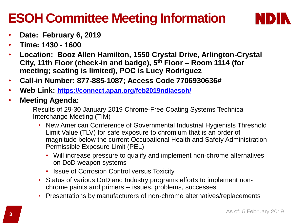# **ESOH Committee Meeting Information**



- **Date: February 6, 2019**
- **Time: 1430 - 1600**
- **Location: Booz Allen Hamilton, 1550 Crystal Drive, Arlington-Crystal City, 11th Floor (check-in and badge), 5th Floor – Room 1114 (for meeting; seating is limited), POC is Lucy Rodriguez**
- **Call-in Number: 877-885-1087; Access Code 7706930636#**
- **Web Link: <https://connect.apan.org/feb2019ndiaesoh/>**
- **Meeting Agenda:** 
	- Results of 29-30 January 2019 Chrome-Free Coating Systems Technical Interchange Meeting (TIM)
		- New American Conference of Governmental Industrial Hygienists Threshold Limit Value (TLV) for safe exposure to chromium that is an order of magnitude below the current Occupational Health and Safety Administration Permissible Exposure Limit (PEL)
			- Will increase pressure to qualify and implement non-chrome alternatives on DoD weapon systems
			- Issue of Corrosion Control versus Toxicity
		- Status of various DoD and Industry programs efforts to implement nonchrome paints and primers -- issues, problems, successes
		- Presentations by manufacturers of non-chrome alternatives/replacements